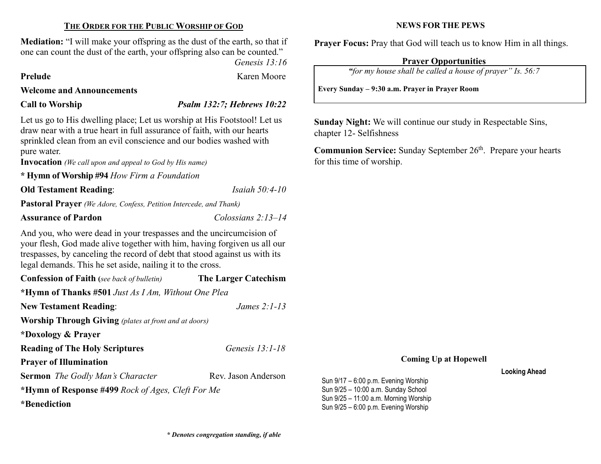### THE ORDER FOR THE PUBLIC WORSHIP OF GOD

Mediation: "I will make your offspring as the dust of the earth, so that if one can count the dust of the earth, your offspring also can be counted."

Genesis 13:16

Prelude Karen Moore

### Welcome and Announcements

## Call to Worship Psalm 132:7; Hebrews 10:22

Let us go to His dwelling place; Let us worship at His Footstool! Let us draw near with a true heart in full assurance of faith, with our hearts sprinkled clean from an evil conscience and our bodies washed with pure water.

Invocation (We call upon and appeal to God by His name)

\* Hymn of Worship #94 How Firm a Foundation

**Old Testament Reading:** *Isaiah 50:4-10* 

Pastoral Prayer (We Adore, Confess, Petition Intercede, and Thank)

#### Assurance of Pardon Colossians 2:13–14

And you, who were dead in your trespasses and the uncircumcision of your flesh, God made alive together with him, having forgiven us all our trespasses, by canceling the record of debt that stood against us with its legal demands. This he set aside, nailing it to the cross.

| <b>Confession of Faith</b> (see back of bulletin)            | <b>The Larger Catechism</b> |  |  |  |  |
|--------------------------------------------------------------|-----------------------------|--|--|--|--|
| *Hymn of Thanks #501 Just As I Am, Without One Plea          |                             |  |  |  |  |
| <b>New Testament Reading:</b>                                | James $2:1-13$              |  |  |  |  |
| <b>Worship Through Giving</b> (plates at front and at doors) |                             |  |  |  |  |
| *Doxology & Prayer                                           |                             |  |  |  |  |
| <b>Reading of The Holy Scriptures</b>                        | Genesis $13:1-18$           |  |  |  |  |
| <b>Prayer of Illumination</b>                                |                             |  |  |  |  |
| <b>Sermon</b> The Godly Man's Character                      | Rev. Jason Anderson         |  |  |  |  |
| *Hymn of Response #499 Rock of Ages, Cleft For Me            |                             |  |  |  |  |
| *Benediction                                                 |                             |  |  |  |  |

#### NEWS FOR THE PEWS

Prayer Focus: Pray that God will teach us to know Him in all things.

#### Prayer Opportunities

"for my house shall be called a house of prayer" Is. 56:7

Every Sunday – 9:30 a.m. Prayer in Prayer Room

Sunday Night: We will continue our study in Respectable Sins, chapter 12- Selfishness

**Communion Service:** Sunday September  $26<sup>th</sup>$ . Prepare your hearts for this time of worship.

#### Coming Up at Hopewell

#### Looking Ahead

Sun 9/17 – 6:00 p.m. Evening Worship Sun 9/25 – 10:00 a.m. Sunday School Sun 9/25 – 11:00 a.m. Morning Worship Sun 9/25 – 6:00 p.m. Evening Worship